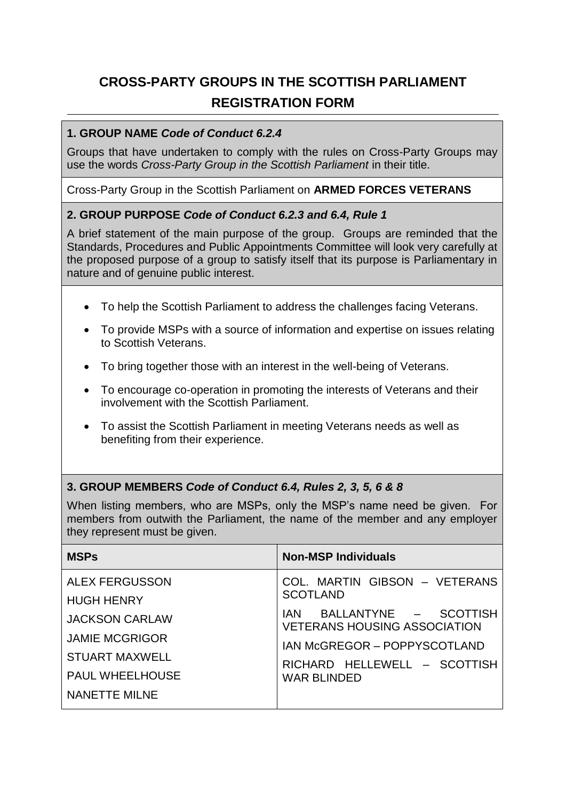# **CROSS-PARTY GROUPS IN THE SCOTTISH PARLIAMENT REGISTRATION FORM**

#### **1. GROUP NAME** *Code of Conduct 6.2.4*

Groups that have undertaken to comply with the rules on Cross-Party Groups may use the words *Cross-Party Group in the Scottish Parliament* in their title.

Cross-Party Group in the Scottish Parliament on **ARMED FORCES VETERANS**

#### **2. GROUP PURPOSE** *Code of Conduct 6.2.3 and 6.4, Rule 1*

A brief statement of the main purpose of the group. Groups are reminded that the Standards, Procedures and Public Appointments Committee will look very carefully at the proposed purpose of a group to satisfy itself that its purpose is Parliamentary in nature and of genuine public interest.

- To help the Scottish Parliament to address the challenges facing Veterans.
- To provide MSPs with a source of information and expertise on issues relating to Scottish Veterans.
- To bring together those with an interest in the well-being of Veterans.
- To encourage co-operation in promoting the interests of Veterans and their involvement with the Scottish Parliament.
- To assist the Scottish Parliament in meeting Veterans needs as well as benefiting from their experience.

#### **3. GROUP MEMBERS** *Code of Conduct 6.4, Rules 2, 3, 5, 6 & 8*

When listing members, who are MSPs, only the MSP's name need be given. For members from outwith the Parliament, the name of the member and any employer they represent must be given.

| <b>MSPs</b>                                | <b>Non-MSP Individuals</b>                                                                                                                                                                                            |
|--------------------------------------------|-----------------------------------------------------------------------------------------------------------------------------------------------------------------------------------------------------------------------|
| <b>ALEX FERGUSSON</b>                      | COL. MARTIN GIBSON - VETERANS<br><b>SCOTLAND</b><br>BALLANTYNE - SCOTTISH<br>IAN.<br><b>VETERANS HOUSING ASSOCIATION</b><br><b>IAN McGREGOR - POPPYSCOTLAND</b><br>RICHARD HELLEWELL - SCOTTISH<br><b>WAR BLINDED</b> |
| <b>HUGH HENRY</b><br><b>JACKSON CARLAW</b> |                                                                                                                                                                                                                       |
| <b>JAMIE MCGRIGOR</b>                      |                                                                                                                                                                                                                       |
| STUART MAXWELL<br><b>PAUL WHEELHOUSE</b>   |                                                                                                                                                                                                                       |
| <b>NANETTE MILNE</b>                       |                                                                                                                                                                                                                       |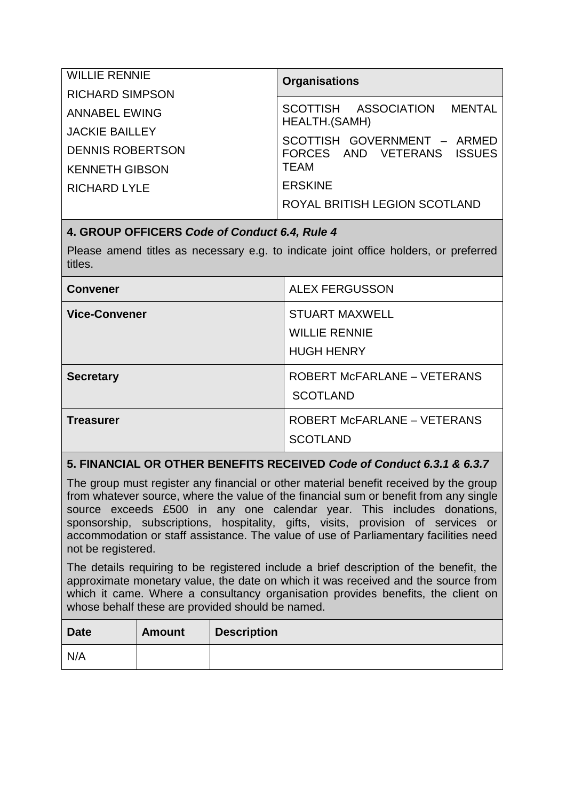| <b>WILLIE RENNIE</b>    | <b>Organisations</b>                                                                                                     |
|-------------------------|--------------------------------------------------------------------------------------------------------------------------|
| <b>RICHARD SIMPSON</b>  | SCOTTISH ASSOCIATION MENTAL<br>HEALTH.(SAMH)<br>SCOTTISH GOVERNMENT - ARMED<br>FORCES AND VETERANS ISSUES<br><b>TEAM</b> |
| <b>ANNABEL EWING</b>    |                                                                                                                          |
| <b>JACKIE BAILLEY</b>   |                                                                                                                          |
| <b>DENNIS ROBERTSON</b> |                                                                                                                          |
| <b>KENNETH GIBSON</b>   |                                                                                                                          |
| <b>RICHARD LYLE</b>     | <b>ERSKINE</b>                                                                                                           |
|                         | ROYAL BRITISH LEGION SCOTLAND                                                                                            |

#### **4. GROUP OFFICERS** *Code of Conduct 6.4, Rule 4*

Please amend titles as necessary e.g. to indicate joint office holders, or preferred titles.

| <b>Convener</b>      | <b>ALEX FERGUSSON</b>                                              |
|----------------------|--------------------------------------------------------------------|
| <b>Vice-Convener</b> | <b>STUART MAXWELL</b><br><b>WILLIE RENNIE</b><br><b>HUGH HENRY</b> |
| <b>Secretary</b>     | ROBERT McFARLANE - VETERANS<br><b>SCOTLAND</b>                     |
| Treasurer            | <b>ROBERT McFARLANE - VETERANS</b><br><b>SCOTLAND</b>              |

## **5. FINANCIAL OR OTHER BENEFITS RECEIVED** *Code of Conduct 6.3.1 & 6.3.7*

The group must register any financial or other material benefit received by the group from whatever source, where the value of the financial sum or benefit from any single source exceeds £500 in any one calendar year. This includes donations, sponsorship, subscriptions, hospitality, gifts, visits, provision of services or accommodation or staff assistance. The value of use of Parliamentary facilities need not be registered.

The details requiring to be registered include a brief description of the benefit, the approximate monetary value, the date on which it was received and the source from which it came. Where a consultancy organisation provides benefits, the client on whose behalf these are provided should be named.

| <b>Date</b> | <b>Amount</b> | <b>Description</b> |
|-------------|---------------|--------------------|
| N/A         |               |                    |